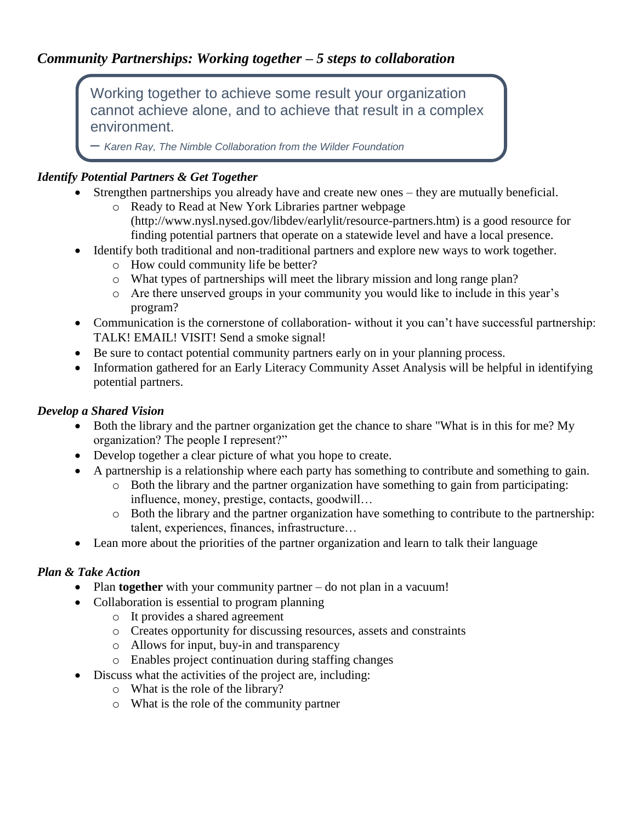# *Community Partnerships: Working together – 5 steps to collaboration*

Working together to achieve some result your organization cannot achieve alone, and to achieve that result in a complex environment.

– *Karen Ray, The Nimble Collaboration from the Wilder Foundation*

## *Identify Potential Partners & Get Together*

- Strengthen partnerships you already have and create new ones they are mutually beneficial.
	- o Ready to Read at New York Libraries partner webpage (http://www.nysl.nysed.gov/libdev/earlylit/resource-partners.htm) is a good resource for finding potential partners that operate on a statewide level and have a local presence.
- Identify both traditional and non-traditional partners and explore new ways to work together.
	- o How could community life be better?
	- o What types of partnerships will meet the library mission and long range plan?
	- o Are there unserved groups in your community you would like to include in this year's program?
- Communication is the cornerstone of collaboration- without it you can't have successful partnership: TALK! EMAIL! VISIT! Send a smoke signal!
- Be sure to contact potential community partners early on in your planning process.
- Information gathered for an Early Literacy Community Asset Analysis will be helpful in identifying potential partners.

### *Develop a Shared Vision*

- Both the library and the partner organization get the chance to share "What is in this for me? My organization? The people I represent?"
- Develop together a clear picture of what you hope to create.
- A partnership is a relationship where each party has something to contribute and something to gain.
	- o Both the library and the partner organization have something to gain from participating: influence, money, prestige, contacts, goodwill…
	- o Both the library and the partner organization have something to contribute to the partnership: talent, experiences, finances, infrastructure…
- Lean more about the priorities of the partner organization and learn to talk their language

## *Plan & Take Action*

- Plan **together** with your community partner do not plan in a vacuum!
- Collaboration is essential to program planning
	- o It provides a shared agreement
	- o Creates opportunity for discussing resources, assets and constraints
	- o Allows for input, buy-in and transparency
	- o Enables project continuation during staffing changes
- Discuss what the activities of the project are, including:
	- o What is the role of the library?
	- o What is the role of the community partner